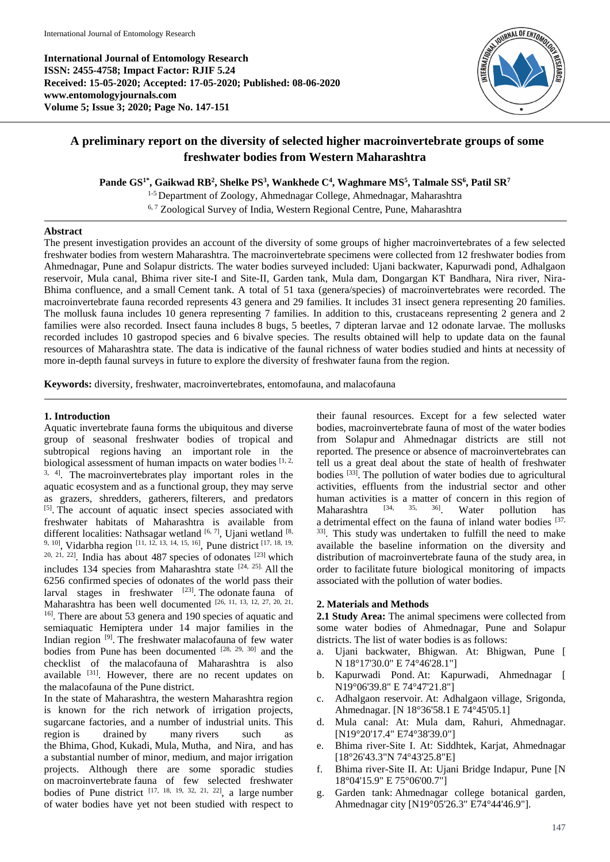**International Journal of Entomology Research ISSN: 2455-4758; Impact Factor: RJIF 5.24 Received: 15-05-2020; Accepted: 17-05-2020; Published: 08-06-2020 www.entomologyjournals.com Volume 5; Issue 3; 2020; Page No. 147-151**



# **A preliminary report on the diversity of selected higher macroinvertebrate groups of some freshwater bodies from Western Maharashtra**

**Pande GS1\*, Gaikwad RB<sup>2</sup> , Shelke PS<sup>3</sup> , Wankhede C<sup>4</sup> , Waghmare MS<sup>5</sup> , Talmale SS<sup>6</sup> , Patil SR<sup>7</sup>**

1-5 Department of Zoology, Ahmednagar College, Ahmednagar, Maharashtra <sup>6,7</sup> Zoological Survey of India, Western Regional Centre, Pune, Maharashtra

## **Abstract**

The present investigation provides an account of the diversity of some groups of higher macroinvertebrates of a few selected freshwater bodies from western Maharashtra. The macroinvertebrate specimens were collected from 12 freshwater bodies from Ahmednagar, Pune and Solapur districts. The water bodies surveyed included: Ujani backwater, Kapurwadi pond, Adhalgaon reservoir, Mula canal, Bhima river site-I and Site-II, Garden tank, Mula dam, Dongargan KT Bandhara, Nira river, Nira-Bhima confluence, and a small Cement tank. A total of 51 taxa (genera/species) of macroinvertebrates were recorded. The macroinvertebrate fauna recorded represents 43 genera and 29 families. It includes 31 insect genera representing 20 families. The mollusk fauna includes 10 genera representing 7 families. In addition to this, crustaceans representing 2 genera and 2 families were also recorded. Insect fauna includes 8 bugs, 5 beetles, 7 dipteran larvae and 12 odonate larvae. The mollusks recorded includes 10 gastropod species and 6 bivalve species. The results obtained will help to update data on the faunal resources of Maharashtra state. The data is indicative of the faunal richness of water bodies studied and hints at necessity of more in-depth faunal surveys in future to explore the diversity of freshwater fauna from the region.

**Keywords:** diversity, freshwater, macroinvertebrates, entomofauna, and malacofauna

## **1. Introduction**

Aquatic invertebrate fauna forms the ubiquitous and diverse group of seasonal freshwater bodies of tropical and subtropical regions having an important role in the biological assessment of human impacts on water bodies  $[1, 2, 1]$ 3, 4]. The macroinvertebrates play important roles in the aquatic ecosystem and as a functional group, they may serve as grazers, shredders, gatherers, filterers, and predators [5]. The account of aquatic insect species associated with freshwater habitats of Maharashtra is available from different localities: Nathsagar wetland [6, 7], Ujani wetland [8, 9, 10], Vidarbha region [11, 12, 13, 14, 15, 16], Pune district [17, 18, 19,  $20, 21, 22$ ]. India has about 487 species of odonates  $[23]$  which includes 134 species from Maharashtra state  $[24, 25]$ . All the 6256 confirmed species of odonates of the world pass their larval stages in freshwater  $[23]$ . The odonate fauna of Maharashtra has been well documented [26, 11, 13, 12, 27, 20, 21, 16] . There are about 53 genera and 190 species of aquatic and semiaquatic Hemiptera under 14 major families in the Indian region<sup>[9]</sup>. The freshwater malacofauna of few water bodies from Pune has been documented [28, 29, 30] and the checklist of the malacofauna of Maharashtra is also available [31]. However, there are no recent updates on the malacofauna of the Pune district.

In the state of Maharashtra, the western Maharashtra region is known for the rich network of irrigation projects, sugarcane factories, and a number of industrial units. This region is drained by many rivers such as the Bhima, Ghod, Kukadi, Mula, Mutha, and Nira, and has a substantial number of minor, medium, and major irrigation projects. Although there are some sporadic studies on macroinvertebrate fauna of few selected freshwater bodies of Pune district  $[17, 18, 19, 32, 21, 22]$ , a large number of water bodies have yet not been studied with respect to

their faunal resources. Except for a few selected water bodies, macroinvertebrate fauna of most of the water bodies from Solapur and Ahmednagar districts are still not reported. The presence or absence of macroinvertebrates can tell us a great deal about the state of health of freshwater bodies [33] . The pollution of water bodies due to agricultural activities, effluents from the industrial sector and other human activities is a matter of concern in this region of Maharashtra  $^{[34, 35, 36]}$  Water pollution has Maharashtra <sup>[34, 35, 36]</sup>. Water pollution has a detrimental effect on the fauna of inland water bodies [37, 33] . This study was undertaken to fulfill the need to make available the baseline information on the diversity and distribution of macroinvertebrate fauna of the study area, in order to facilitate future biological monitoring of impacts associated with the pollution of water bodies.

# **2. Materials and Methods**

**2.1 Study Area:** The animal specimens were collected from some water bodies of Ahmednagar, Pune and Solapur districts. The list of water bodies is as follows:

- a. Ujani backwater, Bhigwan. At: Bhigwan, Pune [ N 18°17'30.0" E 74°46'28.1"]
- b. Kapurwadi Pond. At: Kapurwadi, Ahmednagar [ N19°06'39.8" E 74°47'21.8"]
- c. Adhalgaon reservoir. At: Adhalgaon village, Srigonda, Ahmednagar. [N 18°36'58.1 E 74°45'05.1]
- d. Mula canal: At: Mula dam, Rahuri, Ahmednagar. [N19°20'17.4" E74°38'39.0"]
- e. Bhima river-Site I. At: Siddhtek, Karjat, Ahmednagar [18°26'43.3"N 74°43'25.8"E]
- f. Bhima river-Site II. At: Ujani Bridge Indapur, Pune [N 18°04'15.9" E 75°06'00.7"]
- g. Garden tank: Ahmednagar college botanical garden, Ahmednagar city [N19°05'26.3" E74°44'46.9"].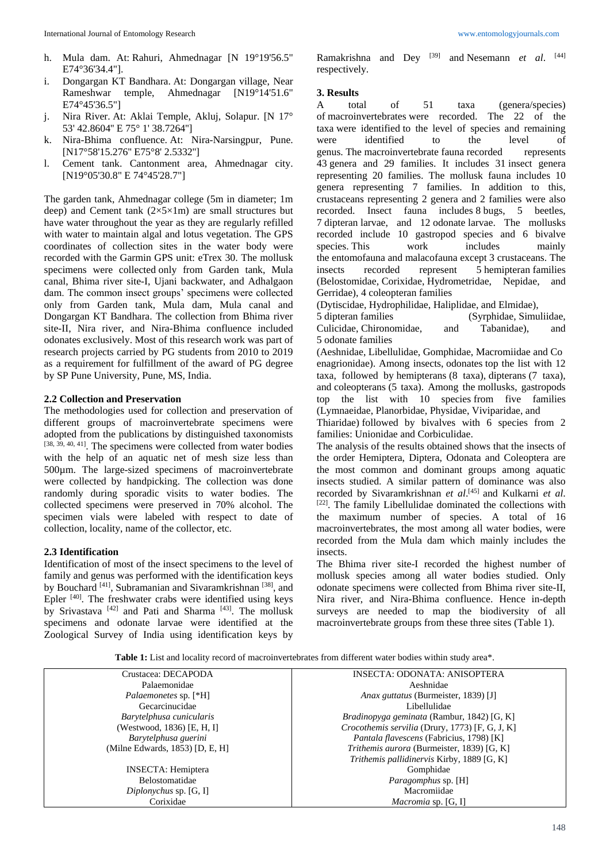- h. Mula dam. At: Rahuri, Ahmednagar [N 19°19'56.5" E74°36'34.4"].
- i. Dongargan KT Bandhara. At: Dongargan village, Near Rameshwar temple, Ahmednagar [N19°14'51.6" E74°45'36.5"]
- j. Nira River. At: Aklai Temple, Akluj, Solapur. [N 17° 53' 42.8604'' E 75° 1' 38.7264'']
- k. Nira-Bhima confluence. At: Nira-Narsingpur, Pune. [N17°58'15.276" E75°8' 2.5332"]
- l. Cement tank. Cantonment area, Ahmednagar city. [N19°05'30.8" E 74°45'28.7"]

The garden tank, Ahmednagar college (5m in diameter; 1m deep) and Cement tank  $(2\times5\times1)$  are small structures but have water throughout the year as they are regularly refilled with water to maintain algal and lotus vegetation. The GPS coordinates of collection sites in the water body were recorded with the Garmin GPS unit: eTrex 30. The mollusk specimens were collected only from Garden tank, Mula canal, Bhima river site-I, Ujani backwater, and Adhalgaon dam. The common insect groups' specimens were collected only from Garden tank, Mula dam, Mula canal and Dongargan KT Bandhara. The collection from Bhima river site-II, Nira river, and Nira-Bhima confluence included odonates exclusively. Most of this research work was part of research projects carried by PG students from 2010 to 2019 as a requirement for fulfillment of the award of PG degree by SP Pune University, Pune, MS, India.

#### **2.2 Collection and Preservation**

The methodologies used for collection and preservation of different groups of macroinvertebrate specimens were adopted from the publications by distinguished taxonomists [38, 39, 40, 41]. The specimens were collected from water bodies with the help of an aquatic net of mesh size less than 500µm. The large-sized specimens of macroinvertebrate were collected by handpicking. The collection was done randomly during sporadic visits to water bodies. The collected specimens were preserved in 70% alcohol. The specimen vials were labeled with respect to date of collection, locality, name of the collector, etc.

#### **2.3 Identification**

Identification of most of the insect specimens to the level of family and genus was performed with the identification keys by Bouchard <sup>[41]</sup>, Subramanian and Sivaramkrishnan <sup>[38]</sup>, and Epler  $[40]$ . The freshwater crabs were identified using keys by Srivastava<sup>[42]</sup> and Pati and Sharma<sup>[43]</sup>. The mollusk specimens and odonate larvae were identified at the Zoological Survey of India using identification keys by Ramakrishna and Dey<sup>[39]</sup> and Nesemann *et al.* [44] respectively.

#### **3. Results**

A total of 51 taxa (genera/species) of macroinvertebrates were recorded. The 22 of the taxa were identified to the level of species and remaining were identified to the level of genus. The macroinvertebrate fauna recorded represents 43 genera and 29 families. It includes 31 insect genera representing 20 families. The mollusk fauna includes 10 genera representing 7 families. In addition to this, crustaceans representing 2 genera and 2 families were also recorded. Insect fauna includes 8 bugs, 5 beetles, 7 dipteran larvae, and 12 odonate larvae. The mollusks recorded include 10 gastropod species and 6 bivalve species. This work includes mainly the entomofauna and malacofauna except 3 crustaceans. The insects recorded represent 5 hemipteran families (Belostomidae, Corixidae, Hydrometridae, Nepidae, and Gerridae), 4 coleopteran families

(Dytiscidae, Hydrophilidae, Haliplidae, and Elmidae),

5 dipteran families (Syrphidae, Simuliidae, Culicidae, Chironomidae, and Tabanidae), and 5 odonate families

(Aeshnidae, Libellulidae, Gomphidae, Macromiidae and Co enagrionidae). Among insects, odonates top the list with 12 taxa, followed by hemipterans (8 taxa), dipterans (7 taxa), and coleopterans (5 taxa). Among the mollusks, gastropods top the list with 10 species from five families (Lymnaeidae, Planorbidae, Physidae, Viviparidae, and

Thiaridae) followed by bivalves with 6 species from 2 families: Unionidae and Corbiculidae.

The analysis of the results obtained shows that the insects of the order Hemiptera, Diptera, Odonata and Coleoptera are the most common and dominant groups among aquatic insects studied. A similar pattern of dominance was also recorded by Sivaramkrishnan *et al*. [45] and Kulkarni *et al*. [22]. The family Libellulidae dominated the collections with the maximum number of species. A total of 16 macroinvertebrates, the most among all water bodies, were recorded from the Mula dam which mainly includes the insects.

The Bhima river site-I recorded the highest number of mollusk species among all water bodies studied. Only odonate specimens were collected from Bhima river site-II, Nira river, and Nira-Bhima confluence. Hence in-depth surveys are needed to map the biodiversity of all macroinvertebrate groups from these three sites (Table 1).

**Table 1:** List and locality record of macroinvertebrates from different water bodies within study area\*.

| Crustacea: DECAPODA             | <b>INSECTA: ODONATA: ANISOPTERA</b>             |
|---------------------------------|-------------------------------------------------|
| Palaemonidae                    | Aeshnidae                                       |
| <i>Palaemonetes sp.</i> [*H]    | Anax guttatus (Burmeister, 1839) [J]            |
| Gecarcinucidae                  | Libellulidae                                    |
| Barytelphusa cunicularis        | Bradinopyga geminata (Rambur, 1842) [G, K]      |
| (Westwood, 1836) [E, H, I]      | Crocothemis servilia (Drury, 1773) [F, G, J, K] |
| Barytelphusa guerini            | Pantala flavescens (Fabricius, 1798) [K]        |
| (Milne Edwards, 1853) [D, E, H] | Trithemis aurora (Burmeister, 1839) [G, K]      |
|                                 | Trithemis pallidinervis Kirby, 1889 [G, K]      |
| <b>INSECTA</b> : Hemiptera      | Gomphidae                                       |
| <b>Belostomatidae</b>           | <i>Paragomphus</i> sp. [H]                      |
| Diplonychus sp. $[G, \Pi]$      | Macromiidae                                     |
| Corixidae                       | <i>Macromia</i> sp. $[G, I]$                    |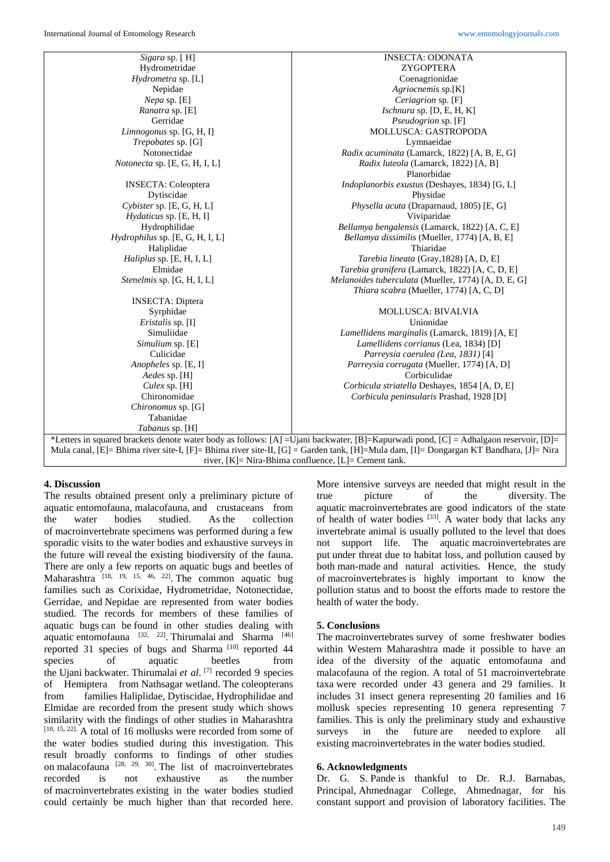| Sigara sp. [H]                                  | <b>INSECTA: ODONATA</b>                             |
|-------------------------------------------------|-----------------------------------------------------|
| Hydrometridae                                   | ZYGOPTERA                                           |
| Hydrometra sp. [L]                              | Coenagrionidae                                      |
| Nepidae                                         | Agriocnemis sp.[K]                                  |
| <i>Nepa</i> sp. $[E]$                           | Ceriagrion sp. [F]                                  |
| Ranatra sp. [E]                                 | Ischnura sp. [D, E, H, K]                           |
| Gerridae                                        | Pseudogrion sp. [F]                                 |
| Limnogonus sp. [G, H, I]                        | <b>MOLLUSCA: GASTROPODA</b>                         |
| <i>Trepobates</i> sp. [G]                       | Lymnaeidae                                          |
| Notonectidae                                    | Radix acuminata (Lamarck, 1822) [A, B, E, G]        |
| Notonecta sp. [E, G, H, I, L]                   | Radix luteola (Lamarck, 1822) [A, B]                |
|                                                 | Planorbidae                                         |
| <b>INSECTA:</b> Coleoptera                      | Indoplanorbis exustus (Deshayes, 1834) [G, L]       |
| Dytiscidae                                      | Physidae                                            |
| $Cybister$ sp. $[E, G, H, L]$                   | Physella acuta (Draparnaud, 1805) [E, G]            |
| <i>Hydaticus</i> sp. [E, H, I]                  | Viviparidae                                         |
| Hydrophilidae                                   | Bellamya bengalensis (Lamarck, 1822) [A, C, E]      |
| $Hydrophilus$ sp. $[E, G, H, I, L]$             | Bellamya dissimilis (Mueller, 1774) [A, B, E]       |
| Haliplidae                                      | Thiaridae                                           |
| Haliplus sp. [E, H, I, L]                       | Tarebia lineata (Gray, 1828) [A, D, E]              |
| Elmidae                                         | Tarebia granifera (Lamarck, 1822) [A, C, D, E]      |
| <i>Stenelmis sp.</i> [G, H, I, L]               | Melanoides tuberculata (Mueller, 1774) [A, D, E, G] |
|                                                 | Thiara scabra (Mueller, 1774) [A, C, D]             |
| <b>INSECTA: Diptera</b>                         |                                                     |
| Syrphidae                                       | <b>MOLLUSCA: BIVALVIA</b>                           |
| <i>Eristalis</i> sp. [I]                        | Unionidae                                           |
| Simuliidae                                      | Lamellidens marginalis (Lamarck, 1819) [A, E]       |
| Simulium sp. [E]                                | Lamellidens corrianus (Lea, 1834) [D]               |
| Culicidae                                       | Parreysia caerulea (Lea, 1831) [4]                  |
| Anopheles sp. [E, I]                            | Parreysia corrugata (Mueller, 1774) [A, D]          |
| Aedes sp. [H]                                   | Corbiculidae                                        |
| Culex sp. $[H]$                                 | Corbicula striatella Deshayes, 1854 [A, D, E]       |
| Chironomidae                                    | Corbicula peninsularis Prashad, 1928 [D]            |
| Chironomus sp. [G]                              |                                                     |
| Tabanidae                                       |                                                     |
| Tabanus sp. [H]                                 |                                                     |
| $C$ 11<br>÷T.<br><b>EAR</b> TT'<br>$\mathbf{I}$ | m1U<br>1.021<br>$A = 11 - 1$<br>$\Gamma$            |

\*Letters in squared brackets denote water body as follows: [A] =Ujani backwater, [B]=Kapurwadi pond, [C] = Adhalgaon reservoir, [D]= Mula canal, [E]= Bhima river site-I, [F]= Bhima river site-II, [G] = Garden tank, [H]=Mula dam, [I]= Dongargan KT Bandhara, [J]= Nira river, [K]= Nira-Bhima confluence, [L]= Cement tank.

# **4. Discussion**

The results obtained present only a preliminary picture of aquatic entomofauna, malacofauna, and crustaceans from the water bodies studied. As the collection of macroinvertebrate specimens was performed during a few sporadic visits to the water bodies and exhaustive surveys in the future will reveal the existing biodiversity of the fauna. There are only a few reports on aquatic bugs and beetles of Maharashtra [18, 19, 15, 46, 22]. The common aquatic bug families such as Corixidae, Hydrometridae, Notonectidae, Gerridae, and Nepidae are represented from water bodies studied. The records for members of these families of aquatic bugs can be found in other studies dealing with aquatic entomofauna  $[32, 22]$ . Thirumalai and Sharma  $[46]$ reported 31 species of bugs and Sharma  $[10]$  reported 44 species of aquatic beetles from the Ujani backwater. Thirumalai *et al*. [7] recorded 9 species of Hemiptera from Nathsagar wetland. The coleopterans from families Haliplidae, Dytiscidae, Hydrophilidae and Elmidae are recorded from the present study which shows similarity with the findings of other studies in Maharashtra [10, 15, 22]. A total of 16 mollusks were recorded from some of the water bodies studied during this investigation. This result broadly conforms to findings of other studies on malacofauna  $[28, 29, 30]$ . The list of macroinvertebrates recorded is not exhaustive as the number of macroinvertebrates existing in the water bodies studied could certainly be much higher than that recorded here.

More intensive surveys are needed that might result in the true picture of the diversity. The aquatic macroinvertebrates are good indicators of the state of health of water bodies  $[33]$ . A water body that lacks any invertebrate animal is usually polluted to the level that does not support life. The aquatic macroinvertebrates are put under threat due to habitat loss, and pollution caused by both man-made and natural activities. Hence, the study of macroinvertebrates is highly important to know the pollution status and to boost the efforts made to restore the health of water the body.

# **5. Conclusions**

The macroinvertebrates survey of some freshwater bodies within Western Maharashtra made it possible to have an idea of the diversity of the aquatic entomofauna and malacofauna of the region. A total of 51 macroinvertebrate taxa were recorded under 43 genera and 29 families. It includes 31 insect genera representing 20 families and 16 mollusk species representing 10 genera representing 7 families. This is only the preliminary study and exhaustive surveys in the future are needed to explore all existing macroinvertebrates in the water bodies studied.

# **6. Acknowledgments**

Dr. G. S. Pande is thankful to Dr. R.J. Barnabas, Principal, Ahmednagar College, Ahmednagar, for his constant support and provision of laboratory facilities. The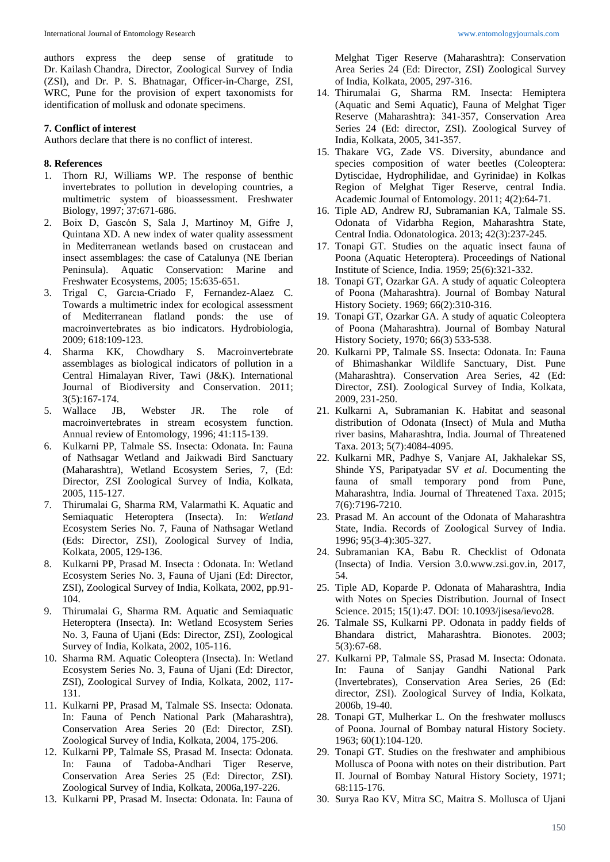authors express the deep sense of gratitude to Dr. Kailash Chandra, Director, Zoological Survey of India (ZSI), and Dr. P. S. Bhatnagar, Officer-in-Charge, ZSI, WRC, Pune for the provision of expert taxonomists for identification of mollusk and odonate specimens.

## **7. Conflict of interest**

Authors declare that there is no conflict of interest.

#### **8. References**

- 1. Thorn RJ, Williams WP. The response of benthic invertebrates to pollution in developing countries, a multimetric system of bioassessment. Freshwater Biology, 1997; 37:671-686.
- 2. Boix D, Gascόn S, Sala J, Martinoy M, Gifre J, Quintana XD. A new index of water quality assessment in Mediterranean wetlands based on crustacean and insect assemblages: the case of Catalunya (NE Iberian Peninsula). Aquatic Conservation: Marine and Freshwater Ecosystems, 2005; 15:635-651.
- 3. Trigal C, Garcıa-Criado F, Fernandez-Alaez C. Towards a multimetric index for ecological assessment of Mediterranean flatland ponds: the use of macroinvertebrates as bio indicators. Hydrobiologia, 2009; 618:109-123.
- 4. Sharma KK, Chowdhary S. Macroinvertebrate assemblages as biological indicators of pollution in a Central Himalayan River, Tawi (J&K). International Journal of Biodiversity and Conservation. 2011; 3(5):167-174.
- 5. Wallace JB, Webster JR. The role of macroinvertebrates in stream ecosystem function. Annual review of Entomology, 1996; 41:115-139.
- 6. Kulkarni PP, Talmale SS. Insecta: Odonata. In: Fauna of Nathsagar Wetland and Jaikwadi Bird Sanctuary (Maharashtra), Wetland Ecosystem Series, 7, (Ed: Director, ZSI Zoological Survey of India, Kolkata, 2005, 115-127.
- 7. Thirumalai G, Sharma RM, Valarmathi K. Aquatic and Semiaquatic Heteroptera (Insecta). In: *Wetland*  Ecosystem Series No. 7, Fauna of Nathsagar Wetland (Eds: Director, ZSI), Zoological Survey of India, Kolkata, 2005, 129-136.
- 8. Kulkarni PP, Prasad M. Insecta : Odonata. In: Wetland Ecosystem Series No. 3, Fauna of Ujani (Ed: Director, ZSI), Zoological Survey of India, Kolkata, 2002, pp.91- 104.
- 9. Thirumalai G, Sharma RM. Aquatic and Semiaquatic Heteroptera (Insecta). In: Wetland Ecosystem Series No. 3, Fauna of Ujani (Eds: Director, ZSI), Zoological Survey of India, Kolkata, 2002, 105-116.
- 10. Sharma RM. Aquatic Coleoptera (Insecta). In: Wetland Ecosystem Series No. 3, Fauna of Ujani (Ed: Director, ZSI), Zoological Survey of India, Kolkata, 2002, 117- 131.
- 11. Kulkarni PP, Prasad M, Talmale SS. Insecta: Odonata. In: Fauna of Pench National Park (Maharashtra), Conservation Area Series 20 (Ed: Director, ZSI). Zoological Survey of India, Kolkata, 2004, 175-206.
- 12. Kulkarni PP, Talmale SS, Prasad M. Insecta: Odonata. In: Fauna of Tadoba-Andhari Tiger Reserve, Conservation Area Series 25 (Ed: Director, ZSI). Zoological Survey of India, Kolkata, 2006a,197-226.
- 13. Kulkarni PP, Prasad M. Insecta: Odonata. In: Fauna of

Melghat Tiger Reserve (Maharashtra): Conservation Area Series 24 (Ed: Director, ZSI) Zoological Survey of India, Kolkata, 2005, 297-316.

- 14. Thirumalai G, Sharma RM. Insecta: Hemiptera (Aquatic and Semi Aquatic), Fauna of Melghat Tiger Reserve (Maharashtra): 341-357, Conservation Area Series 24 (Ed: director, ZSI). Zoological Survey of India, Kolkata, 2005, 341-357.
- 15. Thakare VG, Zade VS. Diversity, abundance and species composition of water beetles (Coleoptera: Dytiscidae, Hydrophilidae, and Gyrinidae) in Kolkas Region of Melghat Tiger Reserve, central India. Academic Journal of Entomology. 2011; 4(2):64-71.
- 16. Tiple AD, Andrew RJ, Subramanian KA, Talmale SS. Odonata of Vidarbha Region, Maharashtra State, Central India. Odonatologica. 2013; 42(3):237-245.
- 17. Tonapi GT. Studies on the aquatic insect fauna of Poona (Aquatic Heteroptera). Proceedings of National Institute of Science, India. 1959; 25(6):321-332.
- 18. Tonapi GT, Ozarkar GA. A study of aquatic Coleoptera of Poona (Maharashtra). Journal of Bombay Natural History Society. 1969; 66(2):310-316.
- 19. Tonapi GT, Ozarkar GA. A study of aquatic Coleoptera of Poona (Maharashtra). Journal of Bombay Natural History Society, 1970; 66(3) 533-538.
- 20. Kulkarni PP, Talmale SS. Insecta: Odonata. In: Fauna of Bhimashankar Wildlife Sanctuary, Dist. Pune (Maharashtra). Conservation Area Series, 42 (Ed: Director, ZSI). Zoological Survey of India, Kolkata, 2009, 231-250.
- 21. Kulkarni A, Subramanian K. Habitat and seasonal distribution of Odonata (Insect) of Mula and Mutha river basins, Maharashtra, India. Journal of Threatened Taxa. 2013; 5(7):4084-4095.
- 22. Kulkarni MR, Padhye S, Vanjare AI, Jakhalekar SS, Shinde YS, Paripatyadar SV *et al*. Documenting the fauna of small temporary pond from Pune, Maharashtra, India. Journal of Threatened Taxa. 2015; 7(6):7196-7210.
- 23. Prasad M. An account of the Odonata of Maharashtra State, India. Records of Zoological Survey of India. 1996; 95(3-4):305-327.
- 24. Subramanian KA, Babu R. Checklist of Odonata (Insecta) of India. Version 3.0.www.zsi.gov.in, 2017, 54.
- 25. Tiple AD, Koparde P. Odonata of Maharashtra, India with Notes on Species Distribution. Journal of Insect Science. 2015; 15(1):47. DOI: 10.1093/jisesa/ievo28.
- 26. Talmale SS, Kulkarni PP. Odonata in paddy fields of Bhandara district, Maharashtra. Bionotes. 2003; 5(3):67-68.
- 27. Kulkarni PP, Talmale SS, Prasad M. Insecta: Odonata. In: Fauna of Sanjay Gandhi National Park (Invertebrates), Conservation Area Series, 26 (Ed: director, ZSI). Zoological Survey of India, Kolkata, 2006b, 19-40.
- 28. Tonapi GT, Mulherkar L. On the freshwater molluscs of Poona. Journal of Bombay natural History Society. 1963; 60(1):104-120.
- 29. Tonapi GT. Studies on the freshwater and amphibious Mollusca of Poona with notes on their distribution. Part II. Journal of Bombay Natural History Society, 1971; 68:115-176.
- 30. Surya Rao KV, Mitra SC, Maitra S. Mollusca of Ujani